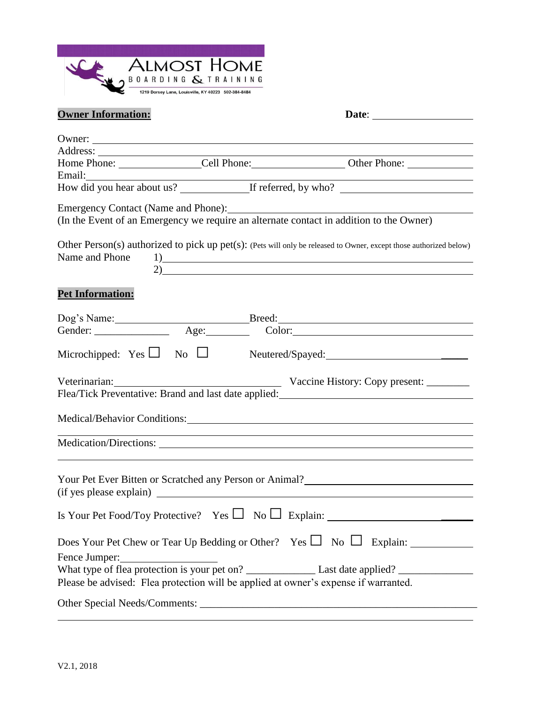

| <b>Owner Information:</b> |                                                                                                                                                                                                                                        |
|---------------------------|----------------------------------------------------------------------------------------------------------------------------------------------------------------------------------------------------------------------------------------|
|                           | Owner:                                                                                                                                                                                                                                 |
|                           |                                                                                                                                                                                                                                        |
|                           |                                                                                                                                                                                                                                        |
|                           |                                                                                                                                                                                                                                        |
|                           |                                                                                                                                                                                                                                        |
|                           | (In the Event of an Emergency we require an alternate contact in addition to the Owner)                                                                                                                                                |
|                           | Other Person(s) authorized to pick up pet(s): (Pets will only be released to Owner, except those authorized below)<br>Name and Phone $1)$<br>2)                                                                                        |
| <b>Pet Information:</b>   |                                                                                                                                                                                                                                        |
|                           |                                                                                                                                                                                                                                        |
|                           |                                                                                                                                                                                                                                        |
|                           |                                                                                                                                                                                                                                        |
| Veterinarian:             | Vaccine History: Copy present:<br>Flea/Tick Preventative: Brand and last date applied: Manual Assembly Plea/Tick Preventative: Brand and last date applied:                                                                            |
|                           |                                                                                                                                                                                                                                        |
|                           | <u> 1989 - Johann Barn, amerikan bernama di sebagai bernama dan bernama di sebagai bernama di sebagai bernama di</u>                                                                                                                   |
|                           | Your Pet Ever Bitten or Scratched any Person or Animal?<br><u>Letter and the set of the set of the set of the set of the set of the set of the set of the set of the set of the set of the set of the set of the set of the set of</u> |
|                           |                                                                                                                                                                                                                                        |
|                           |                                                                                                                                                                                                                                        |
|                           | Please be advised: Flea protection will be applied at owner's expense if warranted.                                                                                                                                                    |
|                           |                                                                                                                                                                                                                                        |